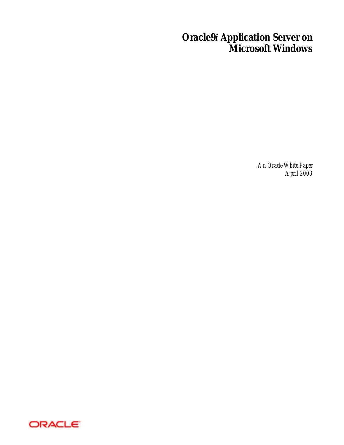# **Oracle9***i* **Application Server on Microsoft Windows**

*An Oracle White Paper April 2003* 

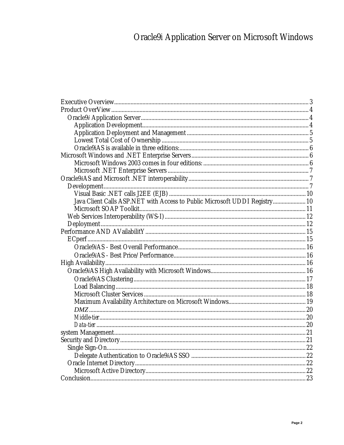# Oracle9i Application Server on Microsoft Windows

| Java Client Calls ASP.NET with Access to Public Microsoft UDDI Registry 10 |  |
|----------------------------------------------------------------------------|--|
|                                                                            |  |
|                                                                            |  |
|                                                                            |  |
|                                                                            |  |
|                                                                            |  |
|                                                                            |  |
|                                                                            |  |
|                                                                            |  |
|                                                                            |  |
|                                                                            |  |
|                                                                            |  |
|                                                                            |  |
|                                                                            |  |
|                                                                            |  |
|                                                                            |  |
|                                                                            |  |
|                                                                            |  |
|                                                                            |  |
|                                                                            |  |
|                                                                            |  |
|                                                                            |  |
|                                                                            |  |
|                                                                            |  |
|                                                                            |  |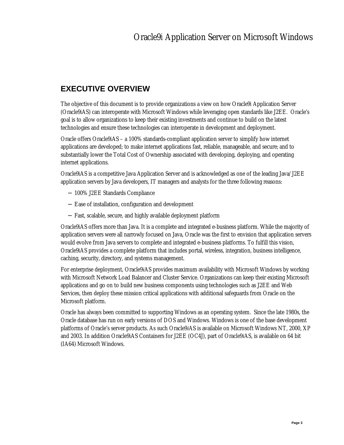# **EXECUTIVE OVERVIEW**

The objective of this document is to provide organizations a view on how Oracle9*i* Application Server (Oracle9*i*AS) can interoperate with Microsoft Windows while leveraging open standards like J2EE. Oracle's goal is to allow organizations to keep their existing investments and continue to build on the latest technologies and ensure these technologies can interoperate in development and deployment.

Oracle offers Oracle9*i*AS – a 100% standards-compliant application server to simplify how internet applications are developed; to make internet applications fast, reliable, manageable, and secure; and to substantially lower the Total Cost of Ownership associated with developing, deploying, and operating internet applications.

Oracle9*i*AS is a competitive Java Application Server and is acknowledged as one of the leading Java/J2EE application servers by Java developers, IT managers and analysts for the three following reasons:

- − 100% J2EE Standards Compliance
- − Ease of installation, configuration and development
- − Fast, scalable, secure, and highly available deployment platform

Oracle9*i*AS offers more than Java. It is a complete and integrated e-business platform. While the majority of application servers were all narrowly focused on Java, Oracle was the first to envision that application servers would evolve from Java servers to complete and integrated e-business platforms. To fulfill this vision, Oracle9*i*AS provides a complete platform that includes portal, wireless, integration, business intelligence, caching, security, directory, and systems management.

For enterprise deployment, Oracle9*i*AS provides maximum availability with Microsoft Windows by working with Microsoft Network Load Balancer and Cluster Service. Organizations can keep their existing Microsoft applications and go on to build new business components using technologies such as J2EE and Web Services, then deploy these mission critical applications with additional safeguards from Oracle on the Microsoft platform.

Oracle has always been committed to supporting Windows as an operating system. Since the late 1980s, the Oracle database has run on early versions of DOS and Windows. Windows is one of the base development platforms of Oracle's server products. As such Oracle9*i*AS is available on Microsoft Windows NT, 2000, XP and 2003. In addition Oracle9*i*AS Containers for J2EE (OC4J), part of Oracle9*i*AS, is available on 64 bit (IA64) Microsoft Windows.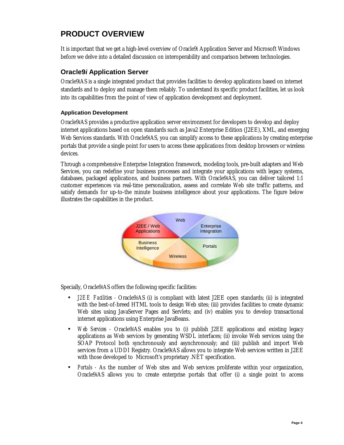# **PRODUCT OVERVIEW**

It is important that we get a high-level overview of Oracle9*i* Application Server and Microsoft Windows before we delve into a detailed discussion on interoperability and comparison between technologies.

### **Oracle9***i* **Application Server**

Oracle9*i*AS is a single integrated product that provides facilities to develop applications based on internet standards and to deploy and manage them reliably. To understand its specific product facilities, let us look into its capabilities from the point of view of application development and deployment.

#### **Application Development**

Oracle9*i*AS provides a productive application server environment for developers to develop and deploy internet applications based on open standards such as Java2 Enterprise Edition (J2EE), XML, and emerging Web Services standards. With Oracle9*i*AS, you can simplify access to these applications by creating enterprise portals that provide a single point for users to access these applications from desktop browsers or wireless devices.

Through a comprehensive Enterprise Integration framework, modeling tools, pre-built adapters and Web Services, you can redefine your business processes and integrate your applications with legacy systems, databases, packaged applications, and business partners. With Oracle9*i*AS, you can deliver tailored 1:1 customer experiences via real-time personalization, assess and correlate Web site traffic patterns, and satisfy demands for up-to-the minute business intelligence about your applications. The figure below illustrates the capabilities in the product.



Specially, Oracle9*i*AS offers the following specific facilities:

- *J2EE Facilities* Oracle9*i*AS (i) is compliant with latest J2EE open standards; (ii) is integrated with the best-of-breed HTML tools to design Web sites; (iii) provides facilities to create dynamic Web sites using JavaServer Pages and Servlets; and (iv) enables you to develop transactional internet applications using Enterprise JavaBeans.
- *Web Services* Oracle9*iAS* enables you to (i) publish J2EE applications and existing legacy applications as Web services by generating WSDL interfaces; (ii) invoke Web services using the SOAP Protocol both synchronously and asynchronously; and (iii) publish and import Web services from a UDDI Registry. Oracle9*i*AS allows you to integrate Web services written in J2EE with those developed to Microsoft's proprietary .NET specification.
- *Portals* As the number of Web sites and Web services proliferate within your organization, Oracle9*i*AS allows you to create enterprise portals that offer (i) a single point to access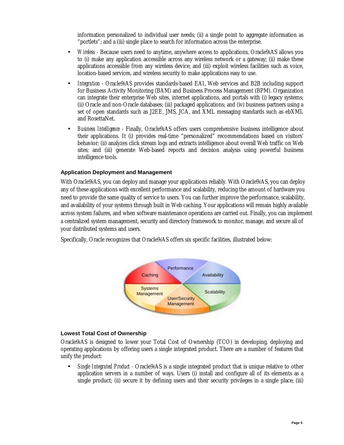information personalized to individual user needs; (ii) a single point to aggregate information as "portlets"; and a (iii) single place to search for information across the enterprise.

- *Wireless* Because users need to anytime, anywhere access to applications, Oracle9*i*AS allows you to (i) make any application accessible across any wireless network or a gateway; (ii) make these applications accessible from any wireless device; and (iii) exploit wireless facilities such as voice, location-based services, and wireless security to make applications easy to use.
- *Integration -* Oracle9*i*AS provides standards-based EAI, Web services and B2B including support for Business Activity Monitoring (BAM) and Business Process Management (BPM). Organization can integrate their enterprise Web sites, internet applications, and portals with (i) legacy systems; (ii) Oracle and non-Oracle databases; (iii) packaged applications; and (iv) business partners using a set of open standards such as J2EE, JMS, JCA, and XML messaging standards such as ebXML and RosettaNet.
- *Business Intelligence* Finally, Oracle9*i*AS offers users comprehensive business intelligence about their applications. It (i) provides real-time "personalized" recommendations based on visitors' behavior; (ii) analyzes click stream logs and extracts intelligence about overall Web traffic on Web sites; and (iii) generate Web-based reports and decision analysis using powerful business intelligence tools.

#### **Application Deployment and Management**

With Oracle9*i*AS, you can deploy and manage your applications reliably. With Oracle9*i*AS, you can deploy any of these applications with excellent performance and scalability, reducing the amount of hardware you need to provide the same quality of service to users. You can further improve the performance, scalability, and availability of your systems through built in Web caching. Your applications will remain highly available across system failures, and when software maintenance operations are carried out. Finally, you can implement a centralized system management, security and directory framework to monitor, manage, and secure all of your distributed systems and users.

Specifically, Oracle recognizes that Oracle9*i*AS offers six specific facilities, illustrated below:



#### **Lowest Total Cost of Ownership**

Oracle9*i*AS is designed to lower your Total Cost of Ownership (TCO) in developing, deploying and operating applications by offering users a single integrated product. There are a number of features that unify the product:

• *Single Integrated Product -* Oracle9*i*AS is a single integrated product that is unique relative to other application servers in a number of ways. Users (i) install and configure all of its elements as a single product; (ii) secure it by defining users and their security privileges in a single place; (iii)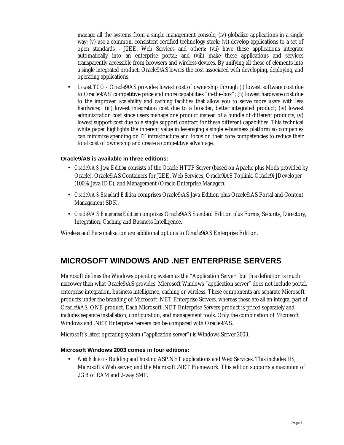manage all the systems from a single management console; (iv) globalize applications in a single way; (v) use a common, consistent certified technology stack; (vi) develop applications to a set of open standards - J2EE, Web Services and others; (vii) have these applications integrate automatically into an enterprise portal; and (viii) make these applications and services transparently accessible from browsers and wireless devices. By unifying all these of elements into a single integrated product, Oracle9*i*AS lowers the cost associated with developing, deploying, and operating applications.

• *Lowest TCO -* Oracle9*i*AS provides lowest cost of ownership through (i) lowest software cost due to Oracle9*i*AS' competitive price and more capabilities "in-the-box"; (ii) lowest hardware cost due to the improved scalability and caching facilities that allow you to serve more users with less hardware; (iii) lowest integration cost due to a broader, better integrated product; (iv) lowest administration cost since users manage one product instead of a bundle of different products; (v) lowest support cost due to a single support contract for these different capabilities. This technical white paper highlights the inherent value in leveraging a single e-business platform so companies can minimize spending on IT infrastructure and focus on their core competencies to reduce their total cost of ownership and create a competitive advantage.

#### **Oracle9***i***AS is available in three editions:**

- *Oracle9iAS Java Edition* consists of the Oracle HTTP Server (based on Apache plus Mods provided by Oracle), Oracle9*i*AS Containers for J2EE, Web Services, Oracle9*i*AS Toplink, Oracle9*i* JDeveloper (100% Java IDE), and Management (Oracle Enterprise Manager).
- *Oracle9iAS Standard Edition* comprises Oracle9*i*AS Java Edition plus Oracle9*i*AS Portal and Content Management SDK.
- *Oracle9iAS Enterprise Edition* comprises Oracle9*i*AS Standard Edition plus Forms, Security, Directory, Integration, Caching and Business Intelligence.

Wireless and Personalization are additional options to Oracle9*i*AS Enterprise Edition.

# **MICROSOFT WINDOWS AND .NET ENTERPRISE SERVERS**

Microsoft defines the Windows operating system as the "Application Server" but this definition is much narrower than what Oracle9*i*AS provides. Microsoft Windows "application server" does not include portal, enterprise integration, business intelligence, caching or wireless. These components are separate Microsoft products under the branding of Microsoft .NET Enterprise Servers, whereas these are all an integral part of Oracle9*i*AS, ONE product. Each Microsoft .NET Enterprise Servers product is priced separately and includes separate installation, configuration, and management tools. Only the combination of Microsoft Windows and .NET Enterprise Servers can be compared with Oracle9*i*AS.

Microsoft's latest operating system ("application server") is Windows Server 2003.

#### **Microsoft Windows 2003 comes in four editions:**

• *Web Edition* - Building and hosting ASP.NET applications and Web Services. This includes IIS, Microsoft's Web server, and the Microsoft .NET Framework. This edition supports a maximum of 2GB of RAM and 2-way SMP.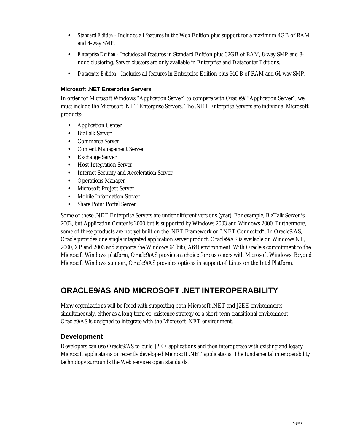- *Standard Edition* Includes all features in the Web Edition plus support for a maximum 4GB of RAM and 4-way SMP.
- *Enterprise Edition* Includes all features in Standard Edition plus 32GB of RAM, 8-way SMP and 8 node clustering. Server clusters are only available in Enterprise and Datacenter Editions.
- *Datacenter Edition* Includes all features in Enterprise Edition plus 64GB of RAM and 64-way SMP.

#### **Microsoft .NET Enterprise Servers**

In order for Microsoft Windows "Application Server" to compare with Oracle9*i* "Application Server", we must include the Microsoft .NET Enterprise Servers. The .NET Enterprise Servers are individual Microsoft products:

- Application Center
- BizTalk Server
- Commerce Server
- Content Management Server
- **Exchange Server**
- Host Integration Server
- Internet Security and Acceleration Server.
- Operations Manager
- Microsoft Project Server
- Mobile Information Server
- Share Point Portal Server

Some of these .NET Enterprise Servers are under different versions (year). For example, BizTalk Server is 2002, but Application Center is 2000 but is supported by Windows 2003 and Windows 2000. Furthermore, some of these products are not yet built on the .NET Framework or ".NET Connected". In Oracle9*i*AS, Oracle provides one single integrated application server product. Oracle9*i*AS is available on Windows NT, 2000, XP and 2003 and supports the Windows 64 bit (IA64) environment. With Oracle's commitment to the Microsoft Windows platform, Oracle9*i*AS provides a choice for customers with Microsoft Windows. Beyond Microsoft Windows support, Oracle9*i*AS provides options in support of Linux on the Intel Platform.

# **ORACLE9***i***AS AND MICROSOFT .NET INTEROPERABILITY**

Many organizations will be faced with supporting both Microsoft .NET and J2EE environments simultaneously, either as a long-term co-existence strategy or a short-term transitional environment. Oracle9*i*AS is designed to integrate with the Microsoft .NET environment.

#### **Development**

Developers can use Oracle9*i*AS to build J2EE applications and then interoperate with existing and legacy Microsoft applications or recently developed Microsoft .NET applications. The fundamental interoperability technology surrounds the Web services open standards.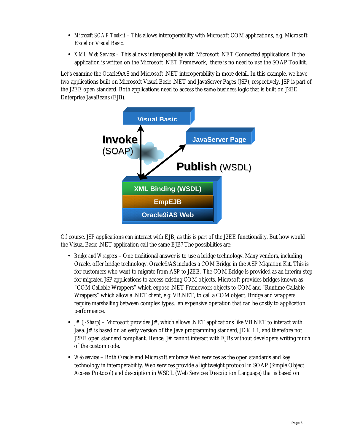- *Microsoft SOAP Toolkit* This allows interoperability with Microsoft COM applications, e.g. Microsoft Excel or Visual Basic.
- *XML Web Services* This allows interoperability with Microsoft .NET Connected applications. If the application is written on the Microsoft .NET Framework, there is no need to use the SOAP Toolkit.

Let's examine the Oracle9*i*AS and Microsoft .NET interoperability in more detail. In this example, we have two applications built on Microsoft Visual Basic .NET and JavaServer Pages (JSP), respectively. JSP is part of the J2EE open standard. Both applications need to access the same business logic that is built on J2EE Enterprise JavaBeans (EJB).



Of course, JSP applications can interact with EJB, as this is part of the J2EE functionality. But how would the Visual Basic .NET application call the same EJB? The possibilities are:

- *Bridge and Wrappers* One traditional answer is to use a bridge technology. Many vendors, including Oracle, offer bridge technology. Oracle9*i*AS includes a COM Bridge in the ASP Migration Kit. This is for customers who want to migrate from ASP to J2EE. The COM Bridge is provided as an interim step for migrated JSP applications to access existing COM objects. Microsoft provides bridges known as "COM Callable Wrappers" which expose .NET Framework objects to COM and "Runtime Callable Wrappers" which allow a .NET client, e.g. VB.NET, to call a COM object. Bridge and wrappers require marshalling between complex types, an expensive operation that can be costly to application performance.
- *J# (J-Sharp)* Microsoft provides J#, which allows .NET applications like VB.NET to interact with Java. J# is based on an early version of the Java programming standard, JDK 1.1, and therefore not J2EE open standard compliant. Hence,  $J#$  cannot interact with EJBs without developers writing much of the custom code.
- *Web services* Both Oracle and Microsoft embrace Web services as the open standards and key technology in interoperability. Web services provide a lightweight protocol in SOAP (Simple Object Access Protocol) and description in WSDL (Web Services Description Language) that is based on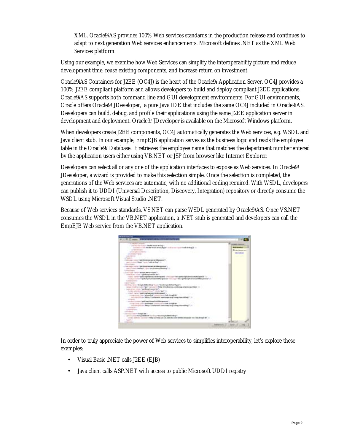XML. Oracle9*i*AS provides 100% Web services standards in the production release and continues to adapt to next generation Web services enhancements. Microsoft defines .NET as the XML Web Services platform.

Using our example, we examine how Web Services can simplify the interoperability picture and reduce development time, reuse existing components, and increase return on investment.

Oracle9*i*AS Containers for J2EE (OC4J) is the heart of the Oracle9*i* Application Server. OC4J provides a 100% J2EE compliant platform and allows developers to build and deploy compliant J2EE applications. Oracle9*i*AS supports both command line and GUI development environments. For GUI environments, Oracle offers Oracle9*i* JDeveloper, a pure Java IDE that includes the same OC4J included in Oracle9*i*AS. Developers can build, debug, and profile their applications using the same J2EE application server in development and deployment. Oracle9*i* JDeveloper is available on the Microsoft Windows platform.

When developers create J2EE components, OC4J automatically generates the Web services, e.g. WSDL and Java client stub. In our example, EmpEJB application serves as the business logic and reads the employee table in the Oracle9*i* Database. It retrieves the employee name that matches the department number entered by the application users either using VB.NET or JSP from browser like Internet Explorer.

Developers can select all or any one of the application interfaces to expose as Web services. In Oracle9*i* JDeveloper, a wizard is provided to make this selection simple. Once the selection is completed, the generations of the Web services are automatic, with no additional coding required. With WSDL, developers can publish it to UDDI (Universal Description, Discovery, Integration) repository or directly consume the WSDL using Microsoft Visual Studio .NET.

Because of Web services standards, VS.NET can parse WSDL generated by Oracle9*i*AS. Once VS.NET consumes the WSDL in the VB.NET application, a .NET stub is generated and developers can call the EmpEJB Web service from the VB.NET application.



In order to truly appreciate the power of Web services to simplifies interoperability, let's explore these examples:

- Visual Basic .NET calls J2EE (EJB)
- Java client calls ASP.NET with access to public Microsoft UDDI registry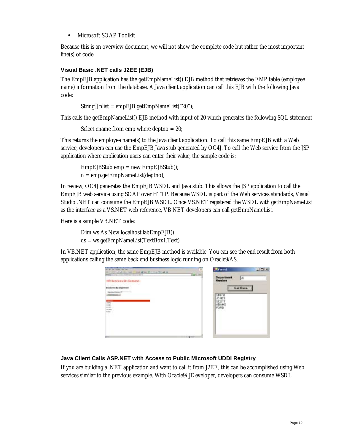• Microsoft SOAP Toolkit

Because this is an overview document, we will not show the complete code but rather the most important line(s) of code.

#### **Visual Basic .NET calls J2EE (EJB)**

The EmpEJB application has the getEmpNameList() EJB method that retrieves the EMP table (employee name) information from the database. A Java client application can call this EJB with the following Java code:

```
 String[] nlist = empEJB.getEmpNameList("20");
```
This calls the getEmpNameList() EJB method with input of 20 which generates the following SQL statement

Select ename from emp where deptno = 20;

This returns the employee name(s) to the Java client application. To call this same EmpEJB with a Web service, developers can use the EmpEJB Java stub generated by OC4J. To call the Web service from the JSP application where application users can enter their value, the sample code is:

 $EmpEJBStub$  emp  $=$  new  $EmpEJBStub()$ ;  $n = emp.getEmpNameList(deptno);$ 

In review, OC4J generates the EmpEJB WSDL and Java stub. This allows the JSP application to call the EmpEJB web service using SOAP over HTTP. Because WSDL is part of the Web services standards, Visual Studio .NET can consume the EmpEJB WSDL. Once VS.NET registered the WSDL with getEmpNameList as the interface as a VS.NET web reference, VB.NET developers can call getEmpNameList.

Here is a sample VB.NET code:

 Dim ws As New localhost.labEmpEJB() ds = ws.getEmpNameList(TextBox1.Text)

In VB.NET application, the same EmpEJB method is available. You can see the end result from both applications calling the same back end business logic running on Oracle9*i*AS.

| The dealer than the China At<br>of all calls line.<br>MARIE IN FIG. 210 - FORTUN HOLD CAR IS | <b>Stand</b><br>$-101\times$<br>. .      |
|----------------------------------------------------------------------------------------------|------------------------------------------|
| HR Services On Security                                                                      | <b>Department</b><br>30<br><b>Number</b> |
| <b>Institucioni Bu Diventi</b>                                                               | Get Data<br><b>SMITH</b>                 |
| E                                                                                            | JONES<br>SCOTT<br>FORD<br>×.             |
|                                                                                              |                                          |
| $\cdots$<br>                                                                                 |                                          |

#### **Java Client Calls ASP.NET with Access to Public Microsoft UDDI Registry**

If you are building a .NET application and want to call it from J2EE, this can be accomplished using Web services similar to the previous example. With Oracle9*i* JDeveloper, developers can consume WSDL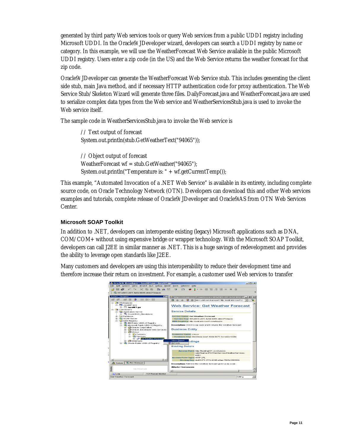generated by third party Web services tools or query Web services from a public UDDI registry including Microsoft UDDI. In the Oracle9*i* JDeveloper wizard, developers can search a UDDI registry by name or category. In this example, we will use the WeatherForecast Web Service available in the public Microsoft UDDI registry. Users enter a zip code (in the US) and the Web Service returns the weather forecast for that zip code.

Oracle9*i* JDeveloper can generate the WeatherForecast Web Service stub. This includes generating the client side stub, main Java method, and if necessary HTTP authentication code for proxy authentication. The Web Service Stub/Skeleton Wizard will generate three files. DailyForecast.java and WeatherForecast.java are used to serialize complex data types from the Web service and WeatherServicesStub.java is used to invoke the Web service itself.

The sample code in WeatherServicesStub.java to invoke the Web service is

// Text output of forecast System.out.println(stub.GetWeatherText("94065")); // Object output of forecast

WeatherForecast wf = stub.GetWeather("94065"); System.out.println("Temperature is: " + wf.getCurrentTemp());

This example, "Automated Invocation of a .NET Web Service" is available in its entirety, including complete source code, on Oracle Technology Network (OTN). Developers can download this and other Web services examples and tutorials, complete release of Oracle9*i* JDeveloper and Oracle9*i*AS from OTN Web Services Center.

#### **Microsoft SOAP Toolkit**

In addition to .NET, developers can interoperate existing (legacy) Microsoft applications such as DNA, COM/COM+ without using expensive bridge or wrapper technology. With the Microsoft SOAP Toolkit, developers can call J2EE in similar manner as .NET. This is a huge savings of redevelopment and provides the ability to leverage open standards like J2EE.

Many customers and developers are using this interoperability to reduce their development time and therefore increase their return on investment. For example, a customer used Web services to transfer

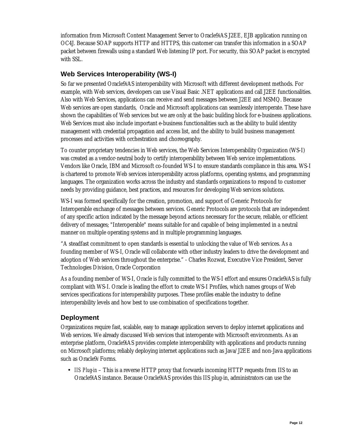information from Microsoft Content Management Server to Oracle9*i*AS J2EE, EJB application running on OC4J. Because SOAP supports HTTP and HTTPS, this customer can transfer this information in a SOAP packet between firewalls using a standard Web listening IP port. For security, this SOAP packet is encrypted with SSL.

### **Web Services Interoperability (WS-I)**

So far we presented Oracle9*i*AS interoperability with Microsoft with different development methods. For example, with Web services, developers can use Visual Basic .NET applications and call J2EE functionalities. Also with Web Services, applications can receive and send messages between J2EE and MSMQ. Because Web services are open standards, Oracle and Microsoft applications can seamlessly interoperate. These have shown the capabilities of Web services but we are only at the basic building block for e-business applications. Web Services must also include important e-business functionalities such as the ability to build identity management with credential propagation and access list, and the ability to build business management processes and activities with orchestration and choreography.

To counter proprietary tendencies in Web services, the Web Services Interoperability Organization (WS-I) was created as a vendor-neutral body to certify interoperability between Web service implementations. Vendors like Oracle, IBM and Microsoft co-founded WS-I to ensure standards compliance in this area. WS-I is chartered to promote Web services interoperability across platforms, operating systems, and programming languages. The organization works across the industry and standards organizations to respond to customer needs by providing guidance, best practices, and resources for developing Web services solutions.

WS-I was formed specifically for the creation, promotion, and support of Generic Protocols for Interoperable exchange of messages between services. Generic Protocols are protocols that are independent of any specific action indicated by the message beyond actions necessary for the secure, reliable, or efficient delivery of messages; "Interoperable" means suitable for and capable of being implemented in a neutral manner on multiple operating systems and in multiple programming languages.

"A steadfast commitment to open standards is essential to unlocking the value of Web services. As a founding member of WS-I, Oracle will collaborate with other industry leaders to drive the development and adoption of Web services throughout the enterprise." - Charles Rozwat, Executive Vice President, Server Technologies Division, Oracle Corporation

As a founding member of WS-I, Oracle is fully committed to the WS-I effort and ensures Oracle9*i*AS is fully compliant with WS-I. Oracle is leading the effort to create WS-I Profiles, which names groups of Web services specifications for interoperability purposes. These profiles enable the industry to define interoperability levels and how best to use combination of specifications together.

#### **Deployment**

Organizations require fast, scalable, easy to manage application servers to deploy internet applications and Web services. We already discussed Web services that interoperate with Microsoft environments. As an enterprise platform, Oracle9*i*AS provides complete interoperability with applications and products running on Microsoft platforms; reliably deploying internet applications such as Java/J2EE and non-Java applications such as Oracle9*i* Forms.

• *IIS Plug-in* – This is a reverse HTTP proxy that forwards incoming HTTP requests from IIS to an Oracle9*i*AS instance. Because Oracle9*i*AS provides this IIS plug-in, administrators can use the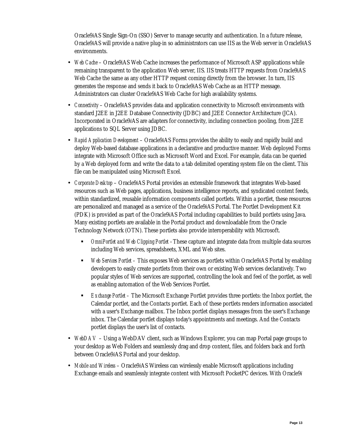Oracle9*i*AS Single Sign-On (SSO) Server to manage security and authentication. In a future release, Oracle9*i*AS will provide a native plug-in so administrators can use IIS as the Web server in Oracle9*i*AS environments.

- *Web Cache* Oracle9*i*AS Web Cache increases the performance of Microsoft ASP applications while remaining transparent to the application Web server, IIS. IIS treats HTTP requests from Oracle9*i*AS Web Cache the same as any other HTTP request coming directly from the browser. In turn, IIS generates the response and sends it back to Oracle9*i*AS Web Cache as an HTTP message. Administrators can cluster Oracle9*i*AS Web Cache for high availability systems.
- *Connectivity*  Oracle9*i*AS provides data and application connectivity to Microsoft environments with standard J2EE in J2EE Database Connectivity (JDBC) and J2EE Connector Architecture (JCA). Incorporated in Oracle9*i*AS are adapters for connectivity, including connection pooling, from J2EE applications to SQL Server using JDBC.
- *Rapid Application Development*  Oracle9*i*AS Forms provides the ability to easily and rapidly build and deploy Web-based database applications in a declarative and productive manner. Web deployed Forms integrate with Microsoft Office such as Microsoft Word and Excel. For example, data can be queried by a Web deployed form and write the data to a tab delimited operating system file on the client. This file can be manipulated using Microsoft Excel.
- *Corporate Desktop*  Oracle9*i*AS Portal provides an extensible framework that integrates Web-based resources such as Web pages, applications, business intelligence reports, and syndicated content feeds, within standardized, reusable information components called portlets. Within a portlet, these resources are personalized and managed as a service of the Oracle9*i*AS Portal. The Portlet Development Kit (PDK) is provided as part of the Oracle9*i*AS Portal including capabilities to build portlets using Java. Many existing portlets are available in the Portal product and downloadable from the Oracle Technology Network (OTN). These portlets also provide interoperability with Microsoft.
	- ! *OmniPortlet and Web Clipping Portlet –*These capture and integrate data from multiple data sources including Web services, spreadsheets, XML and Web sites.
	- ! *Web Services Portlet* This exposes Web services as portlets within Oracle9*i*AS Portal by enabling developers to easily create portlets from their own or existing Web services declaratively. Two popular styles of Web services are supported, controlling the look and feel of the portlet, as well as enabling automation of the Web Services Portlet.
	- ! *Exchange Portlet* The Microsoft Exchange Portlet provides three portlets: the Inbox portlet, the Calendar portlet, and the Contacts portlet. Each of these portlets renders information associated with a user's Exchange mailbox. The Inbox portlet displays messages from the user's Exchange inbox. The Calendar portlet displays today's appointments and meetings. And the Contacts portlet displays the user's list of contacts.
- *WebDAV*  Using a WebDAV client, such as Windows Explorer, you can map Portal page groups to your desktop as Web Folders and seamlessly drag and drop content, files, and folders back and forth between Oracle9*i*AS Portal and your desktop.
- *Mobile and Wireless*  Oracle9*i*AS Wireless can wirelessly enable Microsoft applications including Exchange emails and seamlessly integrate content with Microsoft PocketPC devices. With Oracle9*i*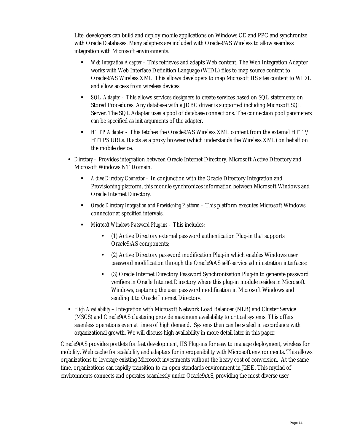Lite, developers can build and deploy mobile applications on Windows CE and PPC and synchronize with Oracle Databases. Many adapters are included with Oracle9*i*AS Wireless to allow seamless integration with Microsoft environments.

- ! *Web Integration Adapter* This retrieves and adapts Web content. The Web Integration Adapter works with Web Interface Definition Language (WIDL) files to map source content to Oracle9*i*AS Wireless XML. This allows developers to map Microsoft IIS sites content to WIDL and allow access from wireless devices.
- ! *SQL Adapter* This allows services designers to create services based on SQL statements on Stored Procedures. Any database with a JDBC driver is supported including Microsoft SQL Server. The SQL Adapter uses a pool of database connections. The connection pool parameters can be specified as init arguments of the adapter.
- ! *HTTP Adapter* This fetches the Oracle9*i*AS Wireless XML content from the external HTTP/ HTTPS URLs. It acts as a proxy browser (which understands the Wireless XML) on behalf on the mobile device.
- *Directory*  Provides integration between Oracle Internet Directory, Microsoft Active Directory and Microsoft Windows NT Domain.
	- ! *Active Directory Connector* In conjunction with the Oracle Directory Integration and Provisioning platform, this module synchronizes information between Microsoft Windows and Oracle Internet Directory.
	- ! *Oracle Directory Integration and Provisioning Platform* This platform executes Microsoft Windows connector at specified intervals.
	- ! *Microsoft Windows Password Plug-ins* This includes:
		- (1) Active Directory external password authentication Plug-in that supports Oracle9*i*AS components;
		- (2) Active Directory password modification Plug-in which enables Windows user password modification through the Oracle9*i*AS self-service administration interfaces;
		- (3) Oracle Internet Directory Password Synchronization Plug-in to generate password verifiers in Oracle Internet Directory where this plug-in module resides in Microsoft Windows, capturing the user password modification in Microsoft Windows and sending it to Oracle Internet Directory.
- *High Availability*  Integration with Microsoft Network Load Balancer (NLB) and Cluster Service (MSCS) and Oracle9*i*AS clustering provide maximum availability to critical systems. This offers seamless operations even at times of high demand. Systems then can be scaled in accordance with organizational growth. We will discuss high availability in more detail later in this paper.

Oracle9*i*AS provides portlets for fast development, IIS Plug-ins for easy to manage deployment, wireless for mobility, Web cache for scalability and adapters for interoperability with Microsoft environments. This allows organizations to leverage existing Microsoft investments without the heavy cost of conversion. At the same time, organizations can rapidly transition to an open standards environment in J2EE. This myriad of environments connects and operates seamlessly under Oracle9*i*AS, providing the most diverse user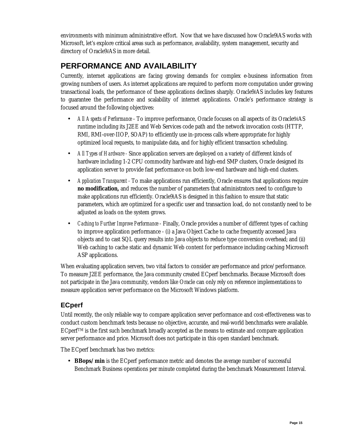environments with minimum administrative effort. Now that we have discussed how Oracle9*i*AS works with Microsoft, let's explore critical areas such as performance, availability, system management, security and directory of Oracle9*i*AS in more detail.

# **PERFORMANCE AND AVAILABILITY**

Currently, internet applications are facing growing demands for complex e-business information from growing numbers of users. As internet applications are required to perform more computation under growing transactional loads, the performance of these applications declines sharply. Oracle9*i*AS includes key features to guarantee the performance and scalability of internet applications. Oracle's performance strategy is focused around the following objectives:

- *All Aspects of Performance* To improve performance, Oracle focuses on all aspects of its Oracle9*i*AS runtime including its J2EE and Web Services code path and the network invocation costs (HTTP, RMI, RMI-over-IIOP, SOAP) to efficiently use in-process calls where appropriate for highly optimized local requests, to manipulate data, and for highly efficient transaction scheduling.
- *All Types of Hardware -* Since application servers are deployed on a variety of different kinds of hardware including 1-2 CPU commodity hardware and high-end SMP clusters, Oracle designed its application server to provide fast performance on both low-end hardware and high-end clusters.
- *Application Transparent* To make applications run efficiently, Oracle ensures that applications require **no modification,** and reduces the number of parameters that administrators need to configure to make applications run efficiently. Oracle9*i*AS is designed in this fashion to ensure that static parameters, which are optimized for a specific user and transaction load, do not constantly need to be adjusted as loads on the system grows.
- *Caching to Further Improve Performance* Finally, Oracle provides a number of different types of caching to improve application performance - (i) a Java Object Cache to cache frequently accessed Java objects and to cast SQL query results into Java objects to reduce type conversion overhead; and (ii) Web caching to cache static and dynamic Web content for performance including caching Microsoft ASP applications.

When evaluating application servers, two vital factors to consider are performance and price/performance. To measure J2EE performance, the Java community created ECperf benchmarks. Because Microsoft does not participate in the Java community, vendors like Oracle can only rely on reference implementations to measure application server performance on the Microsoft Windows platform.

## **ECperf**

Until recently, the only reliable way to compare application server performance and cost-effectiveness was to conduct custom benchmark tests because no objective, accurate, and real-world benchmarks were available.  $ECperf<sup>TM</sup>$  is the first such benchmark broadly accepted as the means to estimate and compare application server performance and price. Microsoft does not participate in this open standard benchmark.

The ECperf benchmark has two metrics:

• **BBops/min** is the ECperf performance metric and denotes the average number of successful Benchmark Business operations per minute completed during the benchmark Measurement Interval.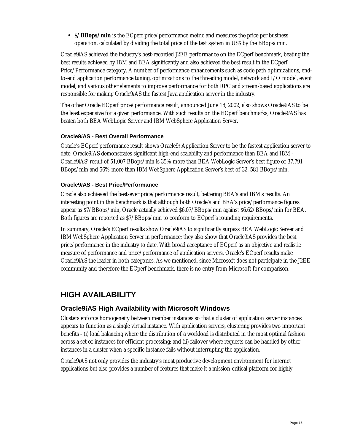• **\$/BBops/min** is the ECperf price/performance metric and measures the price per business operation, calculated by dividing the total price of the test system in US\$ by the BBops/min.

Oracle9*i*AS achieved the industry's best-recorded J2EE performance on the ECperf benchmark, beating the best results achieved by IBM and BEA significantly and also achieved the best result in the ECperf Price/Performance category. A number of performance enhancements such as code path optimizations, endto-end application performance tuning, optimizations to the threading model, network and I/O model, event model, and various other elements to improve performance for both RPC and stream-based applications are responsible for making Oracle9*i*AS the fastest Java application server in the industry.

The other Oracle ECperf price/performance result, announced June 18, 2002, also shows Oracle9*i*AS to be the least expensive for a given performance. With such results on the ECperf benchmarks, Oracle9*i*AS has beaten both BEA WebLogic Server and IBM WebSphere Application Server.

#### **Oracle9***i***AS - Best Overall Performance**

Oracle's ECperf performance result shows Oracle9*i* Application Server to be the fastest application server to date. Oracle9*i*AS demonstrates significant high-end scalability and performance than BEA and IBM - Oracle9*i*AS' result of 51,007 BBops/min is 35% more than BEA WebLogic Server's best figure of 37,791 BBops/min and 56% more than IBM WebSphere Application Server's best of 32, 581 BBops/min.

#### **Oracle9***i***AS - Best Price/Performance**

Oracle also achieved the best-ever price/performance result, bettering BEA's and IBM's results. An interesting point in this benchmark is that although both Oracle's and BEA's price/performance figures appear as \$7/BBops/min, Oracle actually achieved \$6.07/BBops/min against \$6.62/BBops/min for BEA. Both figures are reported as \$7/BBops/min to conform to ECperf's rounding requirements.

In summary, Oracle's ECperf results show Oracle9*i*AS to significantly surpass BEA WebLogic Server and IBM WebSphere Application Server in performance; they also show that Oracle9*i*AS provides the best price/performance in the industry to date. With broad acceptance of ECperf as an objective and realistic measure of performance and price/performance of application servers, Oracle's ECperf results make Oracle9*i*AS the leader in both categories. As we mentioned, since Microsoft does not participate in the J2EE community and therefore the ECperf benchmark, there is no entry from Microsoft for comparison.

# **HIGH AVAILABILITY**

### **Oracle9***i***AS High Availability with Microsoft Windows**

Clusters enforce homogeneity between member instances so that a cluster of application server instances appears to function as a single virtual instance. With application servers, clustering provides two important benefits - (i) load balancing where the distribution of a workload is distributed in the most optimal fashion across a set of instances for efficient processing; and (ii) failover where requests can be handled by other instances in a cluster when a specific instance fails without interrupting the application.

Oracle9*i*AS not only provides the industry's most productive development environment for internet applications but also provides a number of features that make it a mission-critical platform for highly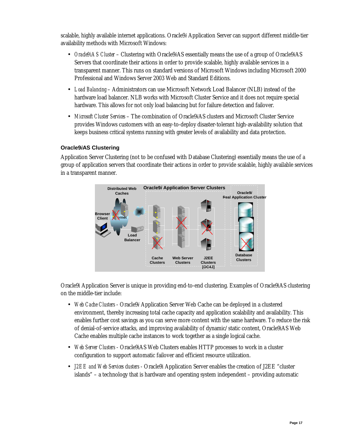scalable, highly available internet applications. Oracle9*i* Application Server can support different middle-tier availability methods with Microsoft Windows:

- *Oracle9iAS Cluster* Clustering with Oracle9*i*AS essentially means the use of a group of Oracle9*i*AS Servers that coordinate their actions in order to provide scalable, highly available services in a transparent manner. This runs on standard versions of Microsoft Windows including Microsoft 2000 Professional and Windows Server 2003 Web and Standard Editions.
- *Load Balancing*  Administrators can use Microsoft Network Load Balancer (NLB) instead of the hardware load balancer. NLB works with Microsoft Cluster Service and it does not require special hardware. This allows for not only load balancing but for failure detection and failover.
- *Microsoft Cluster Services* The combination of Oracle9*i*AS clusters and Microsoft Cluster Service provides Windows customers with an easy-to-deploy disaster-tolerant high-availability solution that keeps business critical systems running with greater levels of availability and data protection.

#### **Oracle9***i***AS Clustering**

Application Server Clustering (not to be confused with Database Clustering) essentially means the use of a group of application servers that coordinate their actions in order to provide scalable, highly available services in a transparent manner.



Oracle9*i* Application Server is unique in providing end-to-end clustering. Examples of Oracle9*i*AS clustering on the middle-tier include:

- *Web Cache Clusters* Oracle9*i* Application Server Web Cache can be deployed in a clustered environment, thereby increasing total cache capacity and application scalability and availability. This enables further cost savings as you can serve more content with the same hardware. To reduce the risk of denial-of-service attacks, and improving availability of dynamic/static content, Oracle9*i*AS Web Cache enables multiple cache instances to work together as a single logical cache.
- *Web Server Clusters* Oracle9*i*AS Web Clusters enables HTTP processes to work in a cluster configuration to support automatic failover and efficient resource utilization.
- *J2EE and Web Services clusters* Oracle9*i* Application Server enables the creation of J2EE "cluster islands" – a technology that is hardware and operating system independent – providing automatic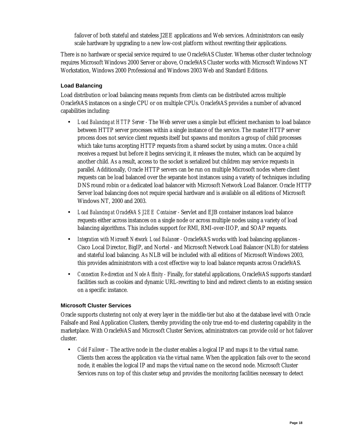failover of both stateful and stateless J2EE applications and Web services. Administrators can easily scale hardware by upgrading to a new low-cost platform without rewriting their applications.

There is no hardware or special service required to use Oracle9*i*AS Cluster. Whereas other cluster technology requires Microsoft Windows 2000 Server or above, Oracle9*i*AS Cluster works with Microsoft Windows NT Workstation, Windows 2000 Professional and Windows 2003 Web and Standard Editions.

#### **Load Balancing**

Load distribution or load balancing means requests from clients can be distributed across multiple Oracle9*i*AS instances on a single CPU or on multiple CPUs. Oracle9*i*AS provides a number of advanced capabilities including:

- *Load Balancing at HTTP Server -* The Web server uses a simple but efficient mechanism to load balance between HTTP server processes within a single instance of the service. The master HTTP server process does not service client requests itself but spawns and monitors a group of child processes which take turns accepting HTTP requests from a shared socket by using a mutex. Once a child receives a request but before it begins servicing it, it releases the mutex, which can be acquired by another child. As a result, access to the socket is serialized but children may service requests in parallel. Additionally, Oracle HTTP servers can be run on multiple Microsoft nodes where client requests can be load balanced over the separate host instances using a variety of techniques including DNS round robin or a dedicated load balancer with Microsoft Network Load Balancer. Oracle HTTP Server load balancing does not require special hardware and is available on all editions of Microsoft Windows NT, 2000 and 2003.
- *Load Balancing at Oracle*9*iAS J2EE Container -* Servlet and EJB container instances load balance requests either across instances on a single node or across multiple nodes using a variety of load balancing algorithms. This includes support for RMI, RMI-over-IIOP, and SOAP requests.
- *Integration with Microsoft Network Load Balancer -* Oracle9*i*AS works with load balancing appliances Cisco Local Director, BigIP, and Nortel - and Microsoft Network Load Balancer (NLB) for stateless and stateful load balancing. As NLB will be included with all editions of Microsoft Windows 2003, this provides administrators with a cost effective way to load balance requests across Oracle9*i*AS.
- *Connection Re-direction and Node Affinity -* Finally, for stateful applications, Oracle9*i*AS supports standard facilities such as cookies and dynamic URL-rewriting to bind and redirect clients to an existing session on a specific instance.

#### **Microsoft Cluster Services**

Oracle supports clustering not only at every layer in the middle-tier but also at the database level with Oracle Failsafe and Real Application Clusters, thereby providing the only true end-to-end clustering capability in the marketplace. With Oracle9*i*AS and Microsoft Cluster Services, administrators can provide cold or hot failover cluster.

• *Cold Failover* – The active node in the cluster enables a logical IP and maps it to the virtual name. Clients then access the application via the virtual name. When the application fails over to the second node, it enables the logical IP and maps the virtual name on the second node. Microsoft Cluster Services runs on top of this cluster setup and provides the monitoring facilities necessary to detect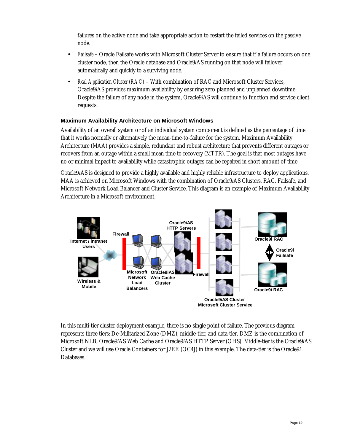failures on the active node and take appropriate action to restart the failed services on the passive node.

- *Failsafe* Oracle Failsafe works with Microsoft Cluster Server to ensure that if a failure occurs on one cluster node, then the Oracle database and Oracle9*i*AS running on that node will failover automatically and quickly to a surviving node.
- *Real Application Cluster (RAC)* With combination of RAC and Microsoft Cluster Services, Oracle9*i*AS provides maximum availability by ensuring zero planned and unplanned downtime. Despite the failure of any node in the system, Oracle9*i*AS will continue to function and service client requests.

#### **Maximum Availability Architecture on Microsoft Windows**

Availability of an overall system or of an individual system component is defined as the percentage of time that it works normally or alternatively the mean-time-to-failure for the system. Maximum Availability Architecture (MAA) provides a simple, redundant and robust architecture that prevents different outages or recovers from an outage within a small mean time to recovery (MTTR). The goal is that most outages have no or minimal impact to availability while catastrophic outages can be repaired in short amount of time.

Oracle9*i*AS is designed to provide a highly available and highly reliable infrastructure to deploy applications. MAA is achieved on Microsoft Windows with the combination of Oracle9*i*AS Clusters, RAC, Failsafe, and Microsoft Network Load Balancer and Cluster Service. This diagram is an example of Maximum Availability Architecture in a Microsoft environment.



In this multi-tier cluster deployment example, there is no single point of failure. The previous diagram represents three tiers: De-Militarized Zone (DMZ), middle-tier, and data-tier. DMZ is the combination of Microsoft NLB, Oracle9*i*AS Web Cache and Oracle9*i*AS HTTP Server (OHS). Middle-tier is the Oracle9*i*AS Cluster and we will use Oracle Containers for J2EE (OC4J) in this example. The data-tier is the Oracle9*i* Databases.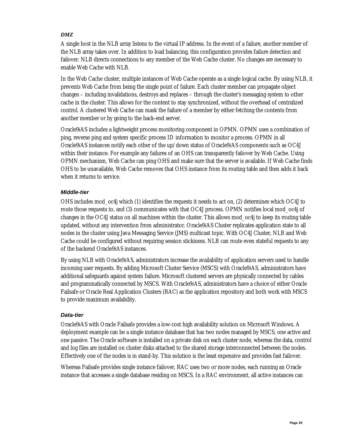#### *DMZ*

A single host in the NLB array listens to the virtual IP address. In the event of a failure, another member of the NLB array takes over. In addition to load balancing, this configuration provides failure detection and failover. NLB directs connections to any member of the Web Cache cluster. No changes are necessary to enable Web Cache with NLB.

In the Web Cache cluster, multiple instances of Web Cache operate as a single logical cache. By using NLB, it prevents Web Cache from being the single point of failure. Each cluster member can propagate object changes – including invalidations, destroys and replaces – through the cluster's messaging system to other cache in the cluster. This allows for the content to stay synchronized, without the overhead of centralized control. A clustered Web Cache can mask the failure of a member by either fetching the contents from another member or by going to the back-end server.

Oracle9*i*AS includes a lightweight process monitoring component in OPMN. OPMN uses a combination of ping, reverse ping and system specific process ID information to monitor a process. OPMN in all Oracle9*i*AS instances notify each other of the up/down status of Oracle9*i*AS components such as OC4J within their instance. For example any failures of an OHS can transparently failover by Web Cache. Using OPMN mechanism, Web Cache can ping OHS and make sure that the server is available. If Web Cache finds OHS to be unavailable, Web Cache removes that OHS instance from its routing table and then adds it back when it returns to service.

#### *Middle-tier*

OHS includes mod\_oc4j which (1) identifies the requests it needs to act on, (2) determines which OC4J to route those requests to, and (3) communicates with that OC4J process. OPMN notifies local mod\_oc4j of changes in the OC4J status on all machines within the cluster. This allows mod\_oc4j to keep its routing table updated, without any intervention from administrator. Oracle9*i*AS Cluster replicates application state to all nodes in the cluster using Java Messaging Service (JMS) multicast topic. With OC4J Cluster, NLB and Web Cache could be configured without requiring session stickiness. NLB can route even stateful requests to any of the backend Oracle9*i*AS instances.

By using NLB with Oracle9*i*AS, administrators increase the availability of application servers used to handle incoming user requests. By adding Microsoft Cluster Service (MSCS) with Oracle9*i*AS, administrators have additional safeguards against system failure. Microsoft clustered servers are physically connected by cables and programmatically connected by MSCS. With Oracle9*i*AS, administrators have a choice of either Oracle Failsafe or Oracle Real Application Clusters (RAC) as the application repository and both work with MSCS to provide maximum availability.

#### *Data-tier*

Oracle9*i*AS with Oracle Failsafe provides a low-cost high availability solution on Microsoft Windows. A deployment example can be a single instance database that has two nodes managed by MSCS, one active and one passive. The Oracle software is installed on a private disk on each cluster node, whereas the data, control and log files are installed on cluster disks attached to the shared storage interconnected between the nodes. Effectively one of the nodes is in stand-by. This solution is the least expensive and provides fast failover.

Whereas Failsafe provides single instance failover, RAC uses two or more nodes, each running an Oracle instance that accesses a single database residing on MSCS. In a RAC environment, all active instances can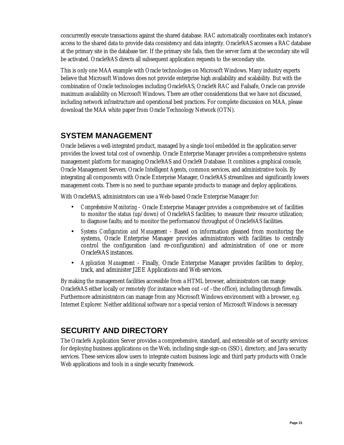concurrently execute transactions against the shared database. RAC automatically coordinates each instance's access to the shared data to provide data consistency and data integrity. Oracle9*i*AS accesses a RAC database at the primary site in the database tier. If the primary site fails, then the server farm at the secondary site will be activated. Oracle9*i*AS directs all subsequent application requests to the secondary site.

This is only one MAA example with Oracle technologies on Microsoft Windows. Many industry experts believe that Microsoft Windows does not provide enterprise high availability and scalability. But with the combination of Oracle technologies including Oracle9*i*AS, Oracle9i RAC and Failsafe, Oracle can provide maximum availability on Microsoft Windows. There are other considerations that we have not discussed, including network infrastructure and operational best practices. For complete discussion on MAA, please download the MAA white paper from Oracle Technology Network (OTN).

## **SYSTEM MANAGEMENT**

Oracle believes a well-integrated product, managed by a single tool embedded in the application server provides the lowest total cost of ownership. Oracle Enterprise Manager provides a comprehensive systems management platform for managing Oracle9*i*AS and Oracle9*i* Database. It combines a graphical console, Oracle Management Servers, Oracle Intelligent Agents, common services, and administrative tools. By integrating all components with Oracle Enterprise Manager, Oracle9*i*AS streamlines and significantly lowers management costs. There is no need to purchase separate products to manage and deploy applications.

With Oracle9iAS, administrators can use a Web-based Oracle Enterprise Manager for:

- *Comprehensive Monitoring* Oracle Enterprise Manager provides a comprehensive set of facilities to monitor the status (up/down) of Oracle9*i*AS facilities; to measure their resource utilization; to diagnose faults; and to monitor the performance/throughput of Oracle9*i*AS facilities.
- *Systems Configuration and Management* Based on information gleaned from monitoring the systems, Oracle Enterprise Manager provides administrators with facilities to centrally control the configuration (and re-configuration) and administration of one or more Oracle9*i*AS instances.
- *Application Management* Finally, Oracle Enterprise Manager provides facilities to deploy, track, and administer J2EE Applications and Web services.

By making the management facilities accessible from a HTML browser, administrators can mange Oracle9*i*AS either locally or remotely (for instance when out –of –the office), including through firewalls. Furthermore administrators can manage from any Microsoft Windows environment with a browser, e.g. Internet Explorer. Neither additional software nor a special version of Microsoft Windows is necessary

# **SECURITY AND DIRECTORY**

The Oracle9*i* Application Server provides a comprehensive, standard, and extensible set of security services for deploying business applications on the Web, including single sign-on (SSO), directory, and Java security services. These services allow users to integrate custom business logic and third party products with Oracle Web applications and tools in a single security framework.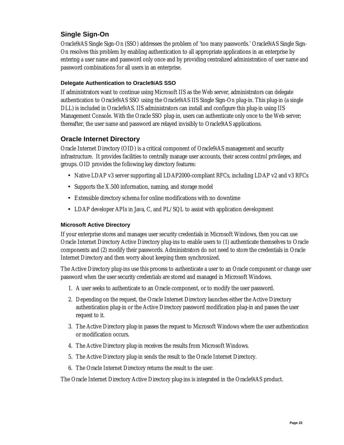### **Single Sign-On**

Oracle9*i*AS Single Sign-On (SSO) addresses the problem of 'too many passwords.' Oracle9*i*AS Single Sign-On resolves this problem by enabling authentication to all appropriate applications in an enterprise by entering a user name and password only once and by providing centralized administration of user name and password combinations for all users in an enterprise.

#### **Delegate Authentication to Oracle9***i***AS SSO**

If administrators want to continue using Microsoft IIS as the Web server, administrators can delegate authentication to Oracle9*i*AS SSO using the Oracle9*i*AS IIS Single Sign-On plug-in. This plug-in (a single DLL) is included in Oracle9*i*AS. IIS administrators can install and configure this plug-in using IIS Management Console. With the Oracle SSO plug-in, users can authenticate only once to the Web server; thereafter, the user name and password are relayed invisibly to Oracle9*i*AS applications.

#### **Oracle Internet Directory**

Oracle Internet Directory (OID) is a critical component of Oracle9*i*AS management and security infrastructure. It provides facilities to centrally manage user accounts, their access control privileges, and groups. OID provides the following key directory features:

- Native LDAP v3 server supporting all LDAP2000-compliant RFCs, including LDAP v2 and v3 RFCs
- Supports the X.500 information, naming, and storage model
- Extensible directory schema for online modifications with no downtime
- LDAP developer APIs in Java, C, and PL/SQL to assist with application development

#### **Microsoft Active Directory**

If your enterprise stores and manages user security credentials in Microsoft Windows, then you can use Oracle Internet Directory Active Directory plug-ins to enable users to (1) authenticate themselves to Oracle components and (2) modify their passwords. Administrators do not need to store the credentials in Oracle Internet Directory and then worry about keeping them synchronized.

The Active Directory plug-ins use this process to authenticate a user to an Oracle component or change user password when the user security credentials are stored and managed in Microsoft Windows.

- 1. A user seeks to authenticate to an Oracle component, or to modify the user password.
- 2. Depending on the request, the Oracle Internet Directory launches either the Active Directory authentication plug-in or the Active Directory password modification plug-in and passes the user request to it.
- 3. The Active Directory plug-in passes the request to Microsoft Windows where the user authentication or modification occurs.
- 4. The Active Directory plug-in receives the results from Microsoft Windows.
- 5. The Active Directory plug-in sends the result to the Oracle Internet Directory.
- 6. The Oracle Internet Directory returns the result to the user.

The Oracle Internet Directory Active Directory plug-ins is integrated in the Oracle9*i*AS product.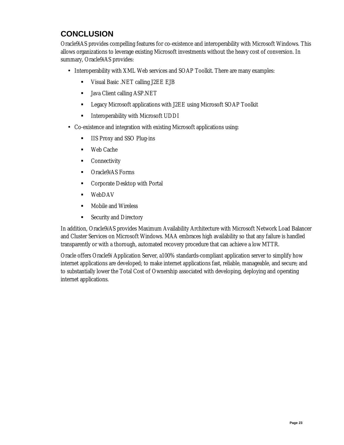# **CONCLUSION**

Oracle9*i*AS provides compelling features for co-existence and interoperability with Microsoft Windows. This allows organizations to leverage existing Microsoft investments without the heavy cost of conversion. In summary, Oracle9*i*AS provides:

- Interoperability with XML Web services and SOAP Toolkit. There are many examples:
	- ! Visual Basic .NET calling J2EE EJB
	- ! Java Client calling ASP.NET
	- ! Legacy Microsoft applications with J2EE using Microsoft SOAP Toolkit
	- ! Interoperability with Microsoft UDDI
- Co-existence and integration with existing Microsoft applications using:
	- **IIS Proxy and SSO Plug-ins**
	- ! Web Cache
	- **Connectivity**
	- ! Oracle9*i*AS Forms
	- ! Corporate Desktop with Portal
	- ! WebDAV
	- **EXECUTE:** Mobile and Wireless
	- ! Security and Directory

In addition, Oracle9*i*AS provides Maximum Availability Architecture with Microsoft Network Load Balancer and Cluster Services on Microsoft Windows. MAA embraces high availability so that any failure is handled transparently or with a thorough, automated recovery procedure that can achieve a low MTTR.

Oracle offers Oracle9*i* Application Server, a100% standards-compliant application server to simplify how internet applications are developed; to make internet applications fast, reliable, manageable, and secure; and to substantially lower the Total Cost of Ownership associated with developing, deploying and operating internet applications.